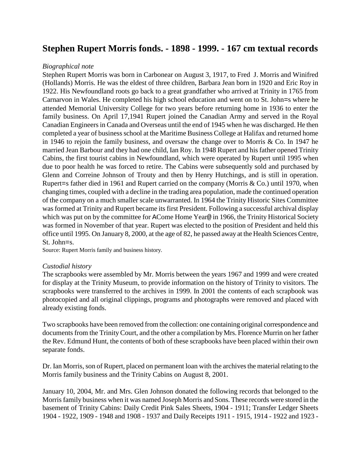# **Stephen Rupert Morris fonds. - 1898 - 1999. - 167 cm textual records**

# *Biographical note*

Stephen Rupert Morris was born in Carbonear on August 3, 1917, to Fred J. Morris and Winifred (Hollands) Morris. He was the eldest of three children, Barbara Jean born in 1920 and Eric Roy in 1922. His Newfoundland roots go back to a great grandfather who arrived at Trinity in 1765 from Carnarvon in Wales. He completed his high school education and went on to St. John=s where he attended Memorial University College for two years before returning home in 1936 to enter the family business. On April 17,1941 Rupert joined the Canadian Army and served in the Royal Canadian Engineers in Canada and Overseas until the end of 1945 when he was discharged. He then completed a year of business school at the Maritime Business College at Halifax and returned home in 1946 to rejoin the family business, and oversaw the change over to Morris & Co. In 1947 he married Jean Barbour and they had one child, Ian Roy. In 1948 Rupert and his father opened Trinity Cabins, the first tourist cabins in Newfoundland, which were operated by Rupert until 1995 when due to poor health he was forced to retire. The Cabins were subsequently sold and purchased by Glenn and Correine Johnson of Trouty and then by Henry Hutchings, and is still in operation. Rupert=s father died in 1961 and Rupert carried on the company (Morris & Co.) until 1970, when changing times, coupled with a decline in the trading area population, made the continued operation of the company on a much smaller scale unwarranted. In 1964 the Trinity Historic Sites Committee was formed at Trinity and Rupert became its first President. Following a successful archival display which was put on by the committee for ACome Home Year@ in 1966, the Trinity Historical Society was formed in November of that year. Rupert was elected to the position of President and held this office until 1995. On January 8, 2000, at the age of 82, he passed away at the Health Sciences Centre, St. John=s.

Source: Rupert Morris family and business history*.*

# *Custodial history*

The scrapbooks were assembled by Mr. Morris between the years 1967 and 1999 and were created for display at the Trinity Museum, to provide information on the history of Trinity to visitors. The scrapbooks were transferred to the archives in 1999. In 2001 the contents of each scrapbook was photocopied and all original clippings, programs and photographs were removed and placed with already existing fonds.

Two scrapbooks have been removed from the collection: one containing original correspondence and documents from the Trinity Court, and the other a compilation by Mrs. Florence Murrin on her father the Rev. Edmund Hunt, the contents of both of these scrapbooks have been placed within their own separate fonds.

Dr. Ian Morris, son of Rupert, placed on permanent loan with the archives the material relating to the Morris family business and the Trinity Cabins on August 8, 2001.

January 10, 2004, Mr. and Mrs. Glen Johnson donated the following records that belonged to the Morris family business when it was named Joseph Morris and Sons. These records were stored in the basement of Trinity Cabins: Daily Credit Pink Sales Sheets, 1904 - 1911; Transfer Ledger Sheets 1904 - 1922, 1909 - 1948 and 1908 - 1937 and Daily Receipts 1911 - 1915, 1914 - 1922 and 1923 -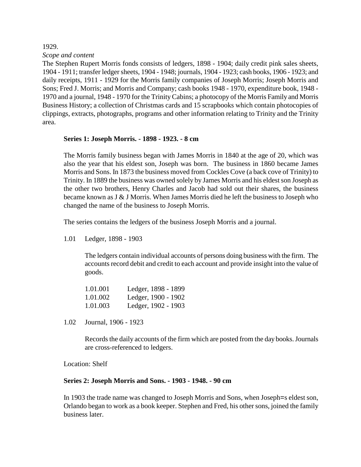1929. *Scope and content*

The Stephen Rupert Morris fonds consists of ledgers, 1898 - 1904; daily credit pink sales sheets, 1904 - 1911; transfer ledger sheets, 1904 - 1948; journals, 1904 - 1923; cash books, 1906 - 1923; and daily receipts, 1911 - 1929 for the Morris family companies of Joseph Morris; Joseph Morris and Sons; Fred J. Morris; and Morris and Company; cash books 1948 - 1970, expenditure book, 1948 - 1970 and a journal, 1948 - 1970 for the Trinity Cabins; a photocopy of the Morris Family and Morris Business History; a collection of Christmas cards and 15 scrapbooks which contain photocopies of clippings, extracts, photographs, programs and other information relating to Trinity and the Trinity area.

# **Series 1: Joseph Morris. - 1898 - 1923. - 8 cm**

The Morris family business began with James Morris in 1840 at the age of 20, which was also the year that his eldest son, Joseph was born. The business in 1860 became James Morris and Sons. In 1873 the business moved from Cockles Cove (a back cove of Trinity) to Trinity. In 1889 the business was owned solely by James Morris and his eldest son Joseph as the other two brothers, Henry Charles and Jacob had sold out their shares, the business became known as J & J Morris. When James Morris died he left the business to Joseph who changed the name of the business to Joseph Morris.

The series contains the ledgers of the business Joseph Morris and a journal.

1.01 Ledger, 1898 - 1903

The ledgers contain individual accounts of persons doing business with the firm. The accounts record debit and credit to each account and provide insight into the value of goods.

| 1.01.001 | Ledger, 1898 - 1899 |
|----------|---------------------|
| 1.01.002 | Ledger, 1900 - 1902 |
| 1.01.003 | Ledger, 1902 - 1903 |

1.02 Journal, 1906 - 1923

Records the daily accounts of the firm which are posted from the day books. Journals are cross-referenced to ledgers.

Location: Shelf

#### **Series 2: Joseph Morris and Sons. - 1903 - 1948. - 90 cm**

In 1903 the trade name was changed to Joseph Morris and Sons, when Joseph=s eldest son, Orlando began to work as a book keeper. Stephen and Fred, his other sons, joined the family business later.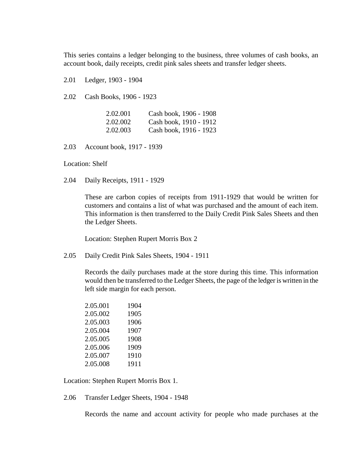This series contains a ledger belonging to the business, three volumes of cash books, an account book, daily receipts, credit pink sales sheets and transfer ledger sheets.

2.01 Ledger, 1903 - 1904

2.02 Cash Books, 1906 - 1923

| 2.02.001 | Cash book, 1906 - 1908 |
|----------|------------------------|
| 2.02.002 | Cash book, 1910 - 1912 |
| 2.02.003 | Cash book, 1916 - 1923 |

2.03 Account book, 1917 - 1939

Location: Shelf

2.04 Daily Receipts, 1911 - 1929

These are carbon copies of receipts from 1911-1929 that would be written for customers and contains a list of what was purchased and the amount of each item. This information is then transferred to the Daily Credit Pink Sales Sheets and then the Ledger Sheets.

Location: Stephen Rupert Morris Box 2

2.05 Daily Credit Pink Sales Sheets, 1904 - 1911

Records the daily purchases made at the store during this time. This information would then be transferred to the Ledger Sheets, the page of the ledger is written in the left side margin for each person.

| 2.05.001 | 1904 |
|----------|------|
| 2.05.002 | 1905 |
| 2.05.003 | 1906 |
| 2.05.004 | 1907 |
| 2.05.005 | 1908 |
| 2.05.006 | 1909 |
| 2.05.007 | 1910 |
| 2.05.008 | 1911 |

Location: Stephen Rupert Morris Box 1.

2.06 Transfer Ledger Sheets, 1904 - 1948

Records the name and account activity for people who made purchases at the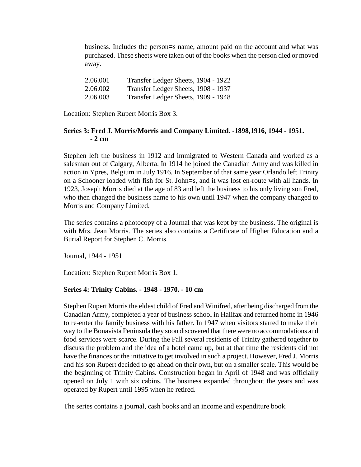business. Includes the person=s name, amount paid on the account and what was purchased. These sheets were taken out of the books when the person died or moved away.

| 2.06.001 | Transfer Ledger Sheets, 1904 - 1922 |
|----------|-------------------------------------|
| 2.06.002 | Transfer Ledger Sheets, 1908 - 1937 |
| 2.06.003 | Transfer Ledger Sheets, 1909 - 1948 |

Location: Stephen Rupert Morris Box 3.

# **Series 3: Fred J. Morris/Morris and Company Limited. -1898,1916, 1944 - 1951. - 2 cm**

Stephen left the business in 1912 and immigrated to Western Canada and worked as a salesman out of Calgary, Alberta. In 1914 he joined the Canadian Army and was killed in action in Ypres, Belgium in July 1916. In September of that same year Orlando left Trinity on a Schooner loaded with fish for St. John=s, and it was lost en-route with all hands. In 1923, Joseph Morris died at the age of 83 and left the business to his only living son Fred, who then changed the business name to his own until 1947 when the company changed to Morris and Company Limited.

The series contains a photocopy of a Journal that was kept by the business. The original is with Mrs. Jean Morris. The series also contains a Certificate of Higher Education and a Burial Report for Stephen C. Morris.

Journal, 1944 - 1951

Location: Stephen Rupert Morris Box 1.

# **Series 4: Trinity Cabins. - 1948 - 1970. - 10 cm**

Stephen Rupert Morris the eldest child of Fred and Winifred, after being discharged from the Canadian Army, completed a year of business school in Halifax and returned home in 1946 to re-enter the family business with his father. In 1947 when visitors started to make their way to the Bonavista Peninsula they soon discovered that there were no accommodations and food services were scarce. During the Fall several residents of Trinity gathered together to discuss the problem and the idea of a hotel came up, but at that time the residents did not have the finances or the initiative to get involved in such a project. However, Fred J. Morris and his son Rupert decided to go ahead on their own, but on a smaller scale. This would be the beginning of Trinity Cabins. Construction began in April of 1948 and was officially opened on July 1 with six cabins. The business expanded throughout the years and was operated by Rupert until 1995 when he retired.

The series contains a journal, cash books and an income and expenditure book.